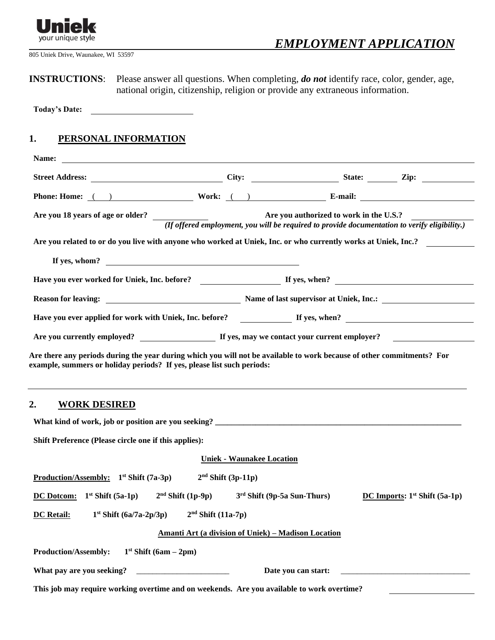

805 Uniek Drive, Waunakee, WI 53597

**INSTRUCTIONS**: Please answer all questions. When completing, *do not* identify race, color, gender, age, national origin, citizenship, religion or provide any extraneous information.

**Today's Date:**

## **1. PERSONAL INFORMATION**

| Phone: Home: ( ) Work: ( ) Work: E-mail:                                                                                                    |                                  |                                                            |                                 |
|---------------------------------------------------------------------------------------------------------------------------------------------|----------------------------------|------------------------------------------------------------|---------------------------------|
| Are you 18 years of age or older?<br>( <i>If offered employment, you will be required to provide documentation to verify eligibility.</i> ) |                                  |                                                            |                                 |
| Are you related to or do you live with anyone who worked at Uniek, Inc. or who currently works at Uniek, Inc.?                              |                                  |                                                            |                                 |
| If yes, whom? $\qquad \qquad$                                                                                                               |                                  |                                                            |                                 |
| Have you ever worked for Uniek, Inc. before?<br>If yes, when?<br>If yes, when?                                                              |                                  |                                                            |                                 |
|                                                                                                                                             |                                  |                                                            |                                 |
| Have you ever applied for work with Uniek, Inc. before?<br>If yes, when?<br>If yes, when?                                                   |                                  |                                                            |                                 |
|                                                                                                                                             |                                  |                                                            |                                 |
| 2.<br><b>WORK DESIRED</b>                                                                                                                   |                                  |                                                            |                                 |
|                                                                                                                                             |                                  |                                                            |                                 |
| Shift Preference (Please circle one if this applies):                                                                                       |                                  |                                                            |                                 |
|                                                                                                                                             | <b>Uniek - Waunakee Location</b> |                                                            |                                 |
| <b>Production/Assembly:</b> $1^{st}$ Shift (7a-3p)                                                                                          | $2nd Shift (3p-11p)$             |                                                            |                                 |
| <u>DC Dotcom:</u> $1^{st}$ Shift (5a-1p) $2^{nd}$ Shift (1p-9p) $3^{rd}$ Shift (9p-5a Sun-Thurs)                                            |                                  |                                                            | DC Imports: $1st$ Shift (5a-1p) |
| $1st Shift (6a/7a-2p/3p)$<br><b>DC Retail:</b>                                                                                              | $2nd$ Shift (11a-7p)             |                                                            |                                 |
|                                                                                                                                             |                                  | <b>Amanti Art (a division of Uniek) - Madison Location</b> |                                 |
| <b>Production/Assembly:</b><br>1 <sup>st</sup> Shift (6am – 2pm)                                                                            |                                  |                                                            |                                 |
| What pay are you seeking?                                                                                                                   |                                  |                                                            |                                 |
| This job may require working overtime and on weekends. Are you available to work overtime?                                                  |                                  |                                                            |                                 |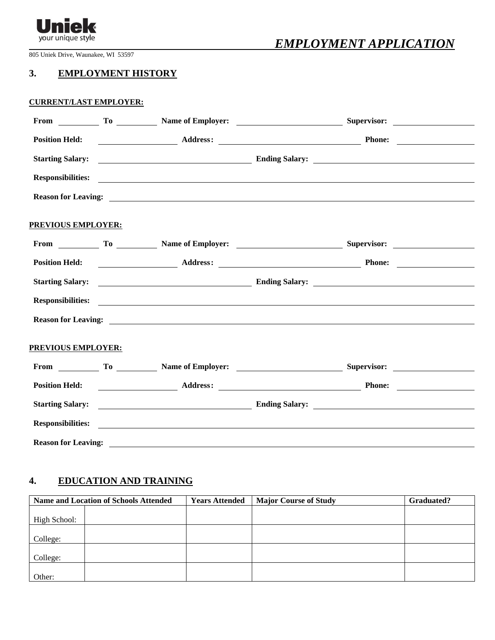

# *EMPLOYMENT APPLICATION*

805 Uniek Drive, Waunakee, WI 53597

## **3. EMPLOYMENT HISTORY**

#### **CURRENT/LAST EMPLOYER:**

|                            | Position Held: <u>New York: Address: New York: New York: New York: New York: New York: New York: New York: New York: New York: New York: New York: New York: New York: New York: New York: New York: New York: New York: New Yor</u>                |  |  |
|----------------------------|-----------------------------------------------------------------------------------------------------------------------------------------------------------------------------------------------------------------------------------------------------|--|--|
|                            | Starting Salary: <u>Starting Salary:</u> Ending Salary: <u>Ending Salary:</u> Ending Salary: 2014                                                                                                                                                   |  |  |
|                            | Responsibilities: exponsibilities:                                                                                                                                                                                                                  |  |  |
|                            | Reason for Leaving: <u>contract the contract of the contract of the contract of the contract of the contract of the contract of the contract of the contract of the contract of the contract of the contract of the contract of </u>                |  |  |
| PREVIOUS EMPLOYER:         |                                                                                                                                                                                                                                                     |  |  |
|                            |                                                                                                                                                                                                                                                     |  |  |
|                            | Position Held: <u>New York: Address: Address: Address: Phone: Phone: Address: Address: Address: Address: Address: Address: Address: Address: Address: Address: Address: Address: Address: Address: Address: Address: Address: Ad</u>                |  |  |
|                            | Starting Salary: <u>Charles Salary:</u> Ending Salary: <u>Charles Salary:</u> Charles Salary: <u>Charles Salary:</u> Charles Salary: <u>Charles Salary: Charles Salary: Charles Salary: Charles Salary: Charles Salary: Charles Salary: Charles</u> |  |  |
|                            | <b>Responsibilities:</b> exploration of the contract of the contract of the contract of the contract of the contract of the contract of the contract of the contract of the contract of the contract of the contract of the contrac                 |  |  |
|                            | Reason for Leaving: <u>example and the contract of the contract of the contract of the contract of the contract of the contract of the contract of the contract of the contract of the contract of the contract of the contract </u>                |  |  |
| <b>PREVIOUS EMPLOYER:</b>  |                                                                                                                                                                                                                                                     |  |  |
|                            | From To To Name of Employer: Supervisor: Numeron Contact Supervisor:                                                                                                                                                                                |  |  |
|                            | Position Held: <u>New York: Address: Address: New York: Phone: New York: New York: New York: New York: New York: New York: New York: New York: New York: New York: New York: New York: New York: New York: New York: New York: N</u>                |  |  |
|                            | Starting Salary: <u>Charles Salary:</u> Ending Salary: <u>Charles Salary:</u> Charles Salary: <u>Charles Salary:</u> Charles Salary: <u>Charles Salary: Charles Salary: Charles Salary: Charles Salary: Charles Salary: Charles Salary: Charles</u> |  |  |
| <b>Responsibilities:</b>   | <u> Alexandro de la contrada de la contrada de la contrada de la contrada de la contrada de la contrada de la con</u>                                                                                                                               |  |  |
| <b>Reason for Leaving:</b> |                                                                                                                                                                                                                                                     |  |  |

## **4. EDUCATION AND TRAINING**

|              | <b>Name and Location of Schools Attended</b> | <b>Years Attended</b> | <b>Major Course of Study</b> | <b>Graduated?</b> |
|--------------|----------------------------------------------|-----------------------|------------------------------|-------------------|
|              |                                              |                       |                              |                   |
| High School: |                                              |                       |                              |                   |
|              |                                              |                       |                              |                   |
| College:     |                                              |                       |                              |                   |
|              |                                              |                       |                              |                   |
| College:     |                                              |                       |                              |                   |
|              |                                              |                       |                              |                   |
| Other:       |                                              |                       |                              |                   |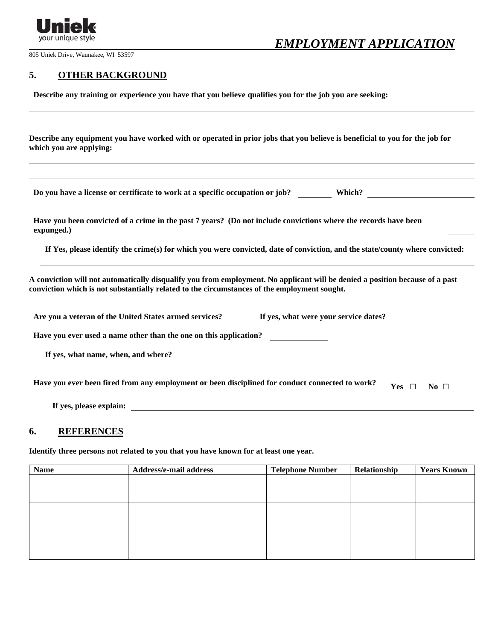

# *EMPLOYMENT APPLICATION*

805 Uniek Drive, Waunakee, WI 53597

### **5. OTHER BACKGROUND**

**Describe any training or experience you have that you believe qualifies you for the job you are seeking:**

**Describe any equipment you have worked with or operated in prior jobs that you believe is beneficial to you for the job for which you are applying:** 

**Do you have a license or certificate to work at a specific occupation or job? Which?**

**Have you been convicted of a crime in the past 7 years? (Do not include convictions where the records have been expunged.)**

**If Yes, please identify the crime(s) for which you were convicted, date of conviction, and the state/county where convicted:**

**A conviction will not automatically disqualify you from employment. No applicant will be denied a position because of a past conviction which is not substantially related to the circumstances of the employment sought.**

| Are you a veteran of the United States armed services?                                          | If yes, what were your service dates? |     |           |
|-------------------------------------------------------------------------------------------------|---------------------------------------|-----|-----------|
| Have you ever used a name other than the one on this application?                               |                                       |     |           |
| If yes, what name, when, and where?                                                             |                                       |     |           |
| Have you ever been fired from any employment or been disciplined for conduct connected to work? |                                       | Yes | No $\Box$ |
| If yes, please explain:                                                                         |                                       |     |           |

#### **6. REFERENCES**

**Identify three persons not related to you that you have known for at least one year.**

| <b>Name</b> | Address/e-mail address | <b>Telephone Number</b> | Relationship | <b>Years Known</b> |
|-------------|------------------------|-------------------------|--------------|--------------------|
|             |                        |                         |              |                    |
|             |                        |                         |              |                    |
|             |                        |                         |              |                    |
|             |                        |                         |              |                    |
|             |                        |                         |              |                    |
|             |                        |                         |              |                    |
|             |                        |                         |              |                    |
|             |                        |                         |              |                    |
|             |                        |                         |              |                    |